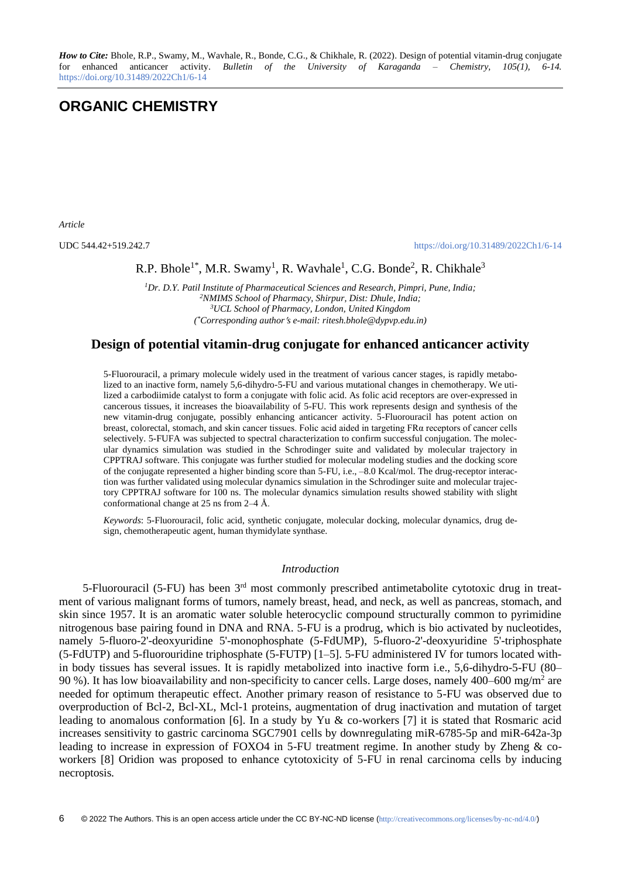*How to Cite:* Bhole, R.P., Swamy, M., Wavhale, R., Bonde, C.G., & Chikhale, R. (2022). Design of potential vitamin-drug conjugate for enhanced anticancer activity. *Bulletin of the University of Karaganda – Chemistry, 105(1), 6-14.*  <https://doi.org/10.31489/2022Ch1/6-14>

# **ORGANIC CHEMISTRY**

*Article*

UDC 544.42+519.242.7 <https://doi.org/10.31489/2022Ch1/6-14>

R.P. Bhole<sup>1\*</sup>, M.R. Swamy<sup>1</sup>, R. Wavhale<sup>1</sup>, C.G. Bonde<sup>2</sup>, R. Chikhale<sup>3</sup>

*Dr. D.Y. Patil Institute of Pharmaceutical Sciences and Research, Pimpri, Pune, India; NMIMS School of Pharmacy, Shirpur, Dist: Dhule, India; UCL School of Pharmacy, London, United Kingdom ( \*Corresponding authors e-mail: ritesh.bhole@dypvp.edu.in)*

# **Design of potential vitamin-drug conjugate for enhanced anticancer activity**

5-Fluorouracil, a primary molecule widely used in the treatment of various cancer stages, is rapidly metabolized to an inactive form, namely 5,6-dihydro-5-FU and various mutational changes in chemotherapy. We utilized a carbodiimide catalyst to form a conjugate with folic acid. As folic acid receptors are over-expressed in cancerous tissues, it increases the bioavailability of 5-FU. This work represents design and synthesis of the new vitamin-drug conjugate, possibly enhancing anticancer activity. 5-Fluorouracil has potent action on breast, colorectal, stomach, and skin cancer tissues. Folic acid aided in targeting FRα receptors of cancer cells selectively. 5-FUFA was subjected to spectral characterization to confirm successful conjugation. The molecular dynamics simulation was studied in the Schrodinger suite and validated by molecular trajectory in CPPTRAJ software. This conjugate was further studied for molecular modeling studies and the docking score of the conjugate represented a higher binding score than 5-FU, i.e., –8.0 Kcal/mol. The drug-receptor interaction was further validated using molecular dynamics simulation in the Schrodinger suite and molecular trajectory CPPTRAJ software for 100 ns. The molecular dynamics simulation results showed stability with slight conformational change at 25 ns from 2–4 Å.

*Keywords*: 5-Fluorouracil, folic acid, synthetic conjugate, molecular docking, molecular dynamics, drug design, chemotherapeutic agent, human thymidylate synthase.

# *Introduction*

5-Fluorouracil (5-FU) has been 3<sup>rd</sup> most commonly prescribed antimetabolite cytotoxic drug in treatment of various malignant forms of tumors, namely breast, head, and neck, as well as pancreas, stomach, and skin since 1957. It is an aromatic water soluble heterocyclic compound structurally common to pyrimidine nitrogenous base pairing found in DNA and RNA. 5-FU is a prodrug, which is bio activated by nucleotides, namely 5-fluoro-2'-deoxyuridine 5'-monophosphate (5-FdUMP), 5-fluoro-2'-deoxyuridine 5'-triphosphate (5-FdUTP) and 5-fluorouridine triphosphate (5-FUTP) [1–5]. 5-FU administered IV for tumors located within body tissues has several issues. It is rapidly metabolized into inactive form i.e., 5,6-dihydro-5-FU (80– 90 %). It has low bioavailability and non-specificity to cancer cells. Large doses, namely 400–600 mg/m<sup>2</sup> are needed for optimum therapeutic effect. Another primary reason of resistance to 5-FU was observed due to overproduction of Bcl-2, Bcl-XL, Mcl-1 proteins, augmentation of drug inactivation and mutation of target leading to anomalous conformation [6]. In a study by Yu & co-workers [7] it is stated that Rosmaric acid increases sensitivity to gastric carcinoma SGC7901 cells by downregulating miR-6785-5p and miR-642a-3p leading to increase in expression of FOXO4 in 5-FU treatment regime. In another study by Zheng & coworkers [8] Oridion was proposed to enhance cytotoxicity of 5-FU in renal carcinoma cells by inducing necroptosis.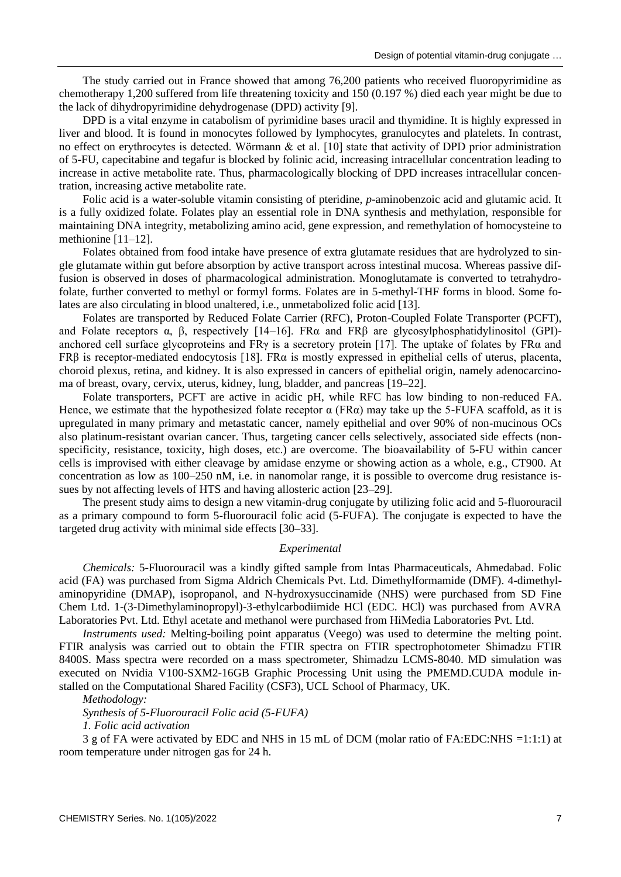The study carried out in France showed that among 76,200 patients who received fluoropyrimidine as chemotherapy 1,200 suffered from life threatening toxicity and 150 (0.197 %) died each year might be due to the lack of dihydropyrimidine dehydrogenase (DPD) activity [9].

DPD is a vital enzyme in catabolism of pyrimidine bases uracil and thymidine. It is highly expressed in liver and blood. It is found in monocytes followed by lymphocytes, granulocytes and platelets. In contrast, no effect on erythrocytes is detected. Wörmann & et al. [10] state that activity of DPD prior administration of 5-FU, capecitabine and tegafur is blocked by folinic acid, increasing intracellular concentration leading to increase in active metabolite rate. Thus, pharmacologically blocking of DPD increases intracellular concentration, increasing active metabolite rate.

Folic acid is a water-soluble vitamin consisting of pteridine, *p*-aminobenzoic acid and glutamic acid. It is a fully oxidized folate. Folates play an essential role in DNA synthesis and methylation, responsible for maintaining DNA integrity, metabolizing amino acid, gene expression, and remethylation of homocysteine to methionine [11–12].

Folates obtained from food intake have presence of extra glutamate residues that are hydrolyzed to single glutamate within gut before absorption by active transport across intestinal mucosa. Whereas passive diffusion is observed in doses of pharmacological administration. Monoglutamate is converted to tetrahydrofolate, further converted to methyl or formyl forms. Folates are in 5-methyl-THF forms in blood. Some folates are also circulating in blood unaltered, i.e., unmetabolized folic acid [13].

Folates are transported by Reduced Folate Carrier (RFC), Proton-Coupled Folate Transporter (PCFT), and Folate receptors α, β, respectively [14–16]. FRα and FRβ are glycosylphosphatidylinositol (GPI) anchored cell surface glycoproteins and FR $\gamma$  is a secretory protein [17]. The uptake of folates by FR $\alpha$  and FRβ is receptor-mediated endocytosis [18]. FRα is mostly expressed in epithelial cells of uterus, placenta, choroid plexus, retina, and kidney. It is also expressed in cancers of epithelial origin, namely adenocarcinoma of breast, ovary, cervix, uterus, kidney, lung, bladder, and pancreas [19–22].

Folate transporters, PCFT are active in acidic pH, while RFC has low binding to non-reduced FA. Hence, we estimate that the hypothesized folate receptor  $\alpha$  (FR $\alpha$ ) may take up the 5-FUFA scaffold, as it is upregulated in many primary and metastatic cancer, namely epithelial and over 90% of non-mucinous OCs also platinum-resistant ovarian cancer. Thus, targeting cancer cells selectively, associated side effects (nonspecificity, resistance, toxicity, high doses, etc.) are overcome. The bioavailability of 5-FU within cancer cells is improvised with either cleavage by amidase enzyme or showing action as a whole, e.g., CT900. At concentration as low as 100–250 nM, i.e. in nanomolar range, it is possible to overcome drug resistance issues by not affecting levels of HTS and having allosteric action [23–29].

The present study aims to design a new vitamin-drug conjugate by utilizing folic acid and 5-fluorouracil as a primary compound to form 5-fluorouracil folic acid (5-FUFA). The conjugate is expected to have the targeted drug activity with minimal side effects [30–33].

## *Experimental*

*Chemicals:* 5-Fluorouracil was a kindly gifted sample from Intas Pharmaceuticals, Ahmedabad. Folic acid (FA) was purchased from Sigma Aldrich Chemicals Pvt. Ltd. Dimethylformamide (DMF). 4-dimethylaminopyridine (DMAP), isopropanol, and N-hydroxysuccinamide (NHS) were purchased from SD Fine Chem Ltd. 1-(3-Dimethylaminopropyl)-3-ethylcarbodiimide HCl (EDC. HCl) was purchased from AVRA Laboratories Pvt. Ltd. Ethyl acetate and methanol were purchased from HiMedia Laboratories Pvt. Ltd.

*Instruments used:* Melting-boiling point apparatus (Veego) was used to determine the melting point. FTIR analysis was carried out to obtain the FTIR spectra on FTIR spectrophotometer Shimadzu FTIR 8400S. Mass spectra were recorded on a mass spectrometer, Shimadzu LCMS-8040. MD simulation was executed on Nvidia V100-SXM2-16GB Graphic Processing Unit using the PMEMD.CUDA module installed on the Computational Shared Facility (CSF3), UCL School of Pharmacy, UK.

*Methodology:*

*Synthesis of 5-Fluorouracil Folic acid (5-FUFA)* 

*1. Folic acid activation*

3 g of FA were activated by EDC and NHS in 15 mL of DCM (molar ratio of FA:EDC:NHS =1:1:1) at room temperature under nitrogen gas for 24 h.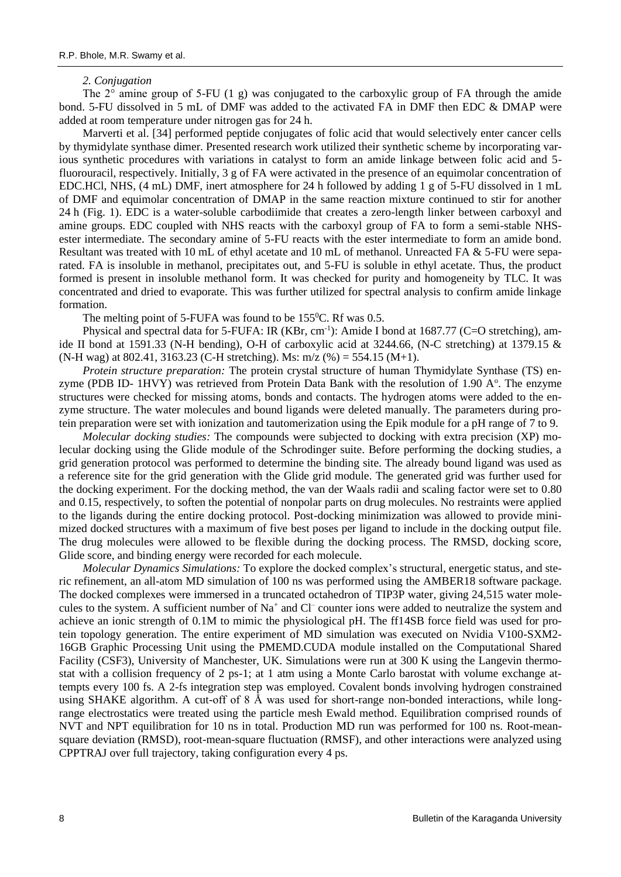## *2. Conjugation*

The  $2^\circ$  amine group of 5-FU (1 g) was conjugated to the carboxylic group of FA through the amide bond. 5-FU dissolved in 5 mL of DMF was added to the activated FA in DMF then EDC & DMAP were added at room temperature under nitrogen gas for 24 h.

Marverti et al. [34] performed peptide conjugates of folic acid that would selectively enter cancer cells by thymidylate synthase dimer. Presented research work utilized their synthetic scheme by incorporating various synthetic procedures with variations in catalyst to form an amide linkage between folic acid and 5 fluorouracil, respectively. Initially, 3 g of FA were activated in the presence of an equimolar concentration of EDC.HCl, NHS, (4 mL) DMF, inert atmosphere for 24 h followed by adding 1 g of 5-FU dissolved in 1 mL of DMF and equimolar concentration of DMAP in the same reaction mixture continued to stir for another 24 h (Fig. 1). EDC is a water-soluble carbodiimide that creates a zero-length linker between carboxyl and amine groups. EDC coupled with NHS reacts with the carboxyl group of FA to form a semi-stable NHSester intermediate. The secondary amine of 5-FU reacts with the ester intermediate to form an amide bond. Resultant was treated with 10 mL of ethyl acetate and 10 mL of methanol. Unreacted FA & 5-FU were separated. FA is insoluble in methanol, precipitates out, and 5-FU is soluble in ethyl acetate. Thus, the product formed is present in insoluble methanol form. It was checked for purity and homogeneity by TLC. It was concentrated and dried to evaporate. This was further utilized for spectral analysis to confirm amide linkage formation.

The melting point of 5-FUFA was found to be  $155^{\circ}$ C. Rf was 0.5.

Physical and spectral data for 5-FUFA: IR (KBr, cm<sup>-1</sup>): Amide I bond at 1687.77 (C=O stretching), amide II bond at 1591.33 (N-H bending), O-H of carboxylic acid at 3244.66, (N-C stretching) at 1379.15 & (N-H wag) at 802.41, 3163.23 (C-H stretching). Ms: m/z (%) = 554.15 (M+1).

*Protein structure preparation:* The protein crystal structure of human Thymidylate Synthase (TS) enzyme (PDB ID- 1HVY) was retrieved from Protein Data Bank with the resolution of 1.90 A°. The enzyme structures were checked for missing atoms, bonds and contacts. The hydrogen atoms were added to the enzyme structure. The water molecules and bound ligands were deleted manually. The parameters during protein preparation were set with ionization and tautomerization using the Epik module for a pH range of 7 to 9.

*Molecular docking studies:* The compounds were subjected to docking with extra precision (XP) molecular docking using the Glide module of the Schrodinger suite. Before performing the docking studies, a grid generation protocol was performed to determine the binding site. The already bound ligand was used as a reference site for the grid generation with the Glide grid module. The generated grid was further used for the docking experiment. For the docking method, the van der Waals radii and scaling factor were set to 0.80 and 0.15, respectively, to soften the potential of nonpolar parts on drug molecules. No restraints were applied to the ligands during the entire docking protocol. Post-docking minimization was allowed to provide minimized docked structures with a maximum of five best poses per ligand to include in the docking output file. The drug molecules were allowed to be flexible during the docking process. The RMSD, docking score, Glide score, and binding energy were recorded for each molecule.

*Molecular Dynamics Simulations:* To explore the docked complex's structural, energetic status, and steric refinement, an all-atom MD simulation of 100 ns was performed using the AMBER18 software package. The docked complexes were immersed in a truncated octahedron of TIP3P water, giving 24,515 water molecules to the system. A sufficient number of Na<sup>+</sup> and Cl<sup>-</sup> counter ions were added to neutralize the system and achieve an ionic strength of 0.1M to mimic the physiological pH. The ff14SB force field was used for protein topology generation. The entire experiment of MD simulation was executed on Nvidia V100-SXM2- 16GB Graphic Processing Unit using the PMEMD.CUDA module installed on the Computational Shared Facility (CSF3), University of Manchester, UK. Simulations were run at 300 K using the Langevin thermostat with a collision frequency of 2 ps-1; at 1 atm using a Monte Carlo barostat with volume exchange attempts every 100 fs. A 2-fs integration step was employed. Covalent bonds involving hydrogen constrained using SHAKE algorithm. A cut-off of  $8 \text{ Å}$  was used for short-range non-bonded interactions, while longrange electrostatics were treated using the particle mesh Ewald method. Equilibration comprised rounds of NVT and NPT equilibration for 10 ns in total. Production MD run was performed for 100 ns. Root-meansquare deviation (RMSD), root-mean-square fluctuation (RMSF), and other interactions were analyzed using CPPTRAJ over full trajectory, taking configuration every 4 ps.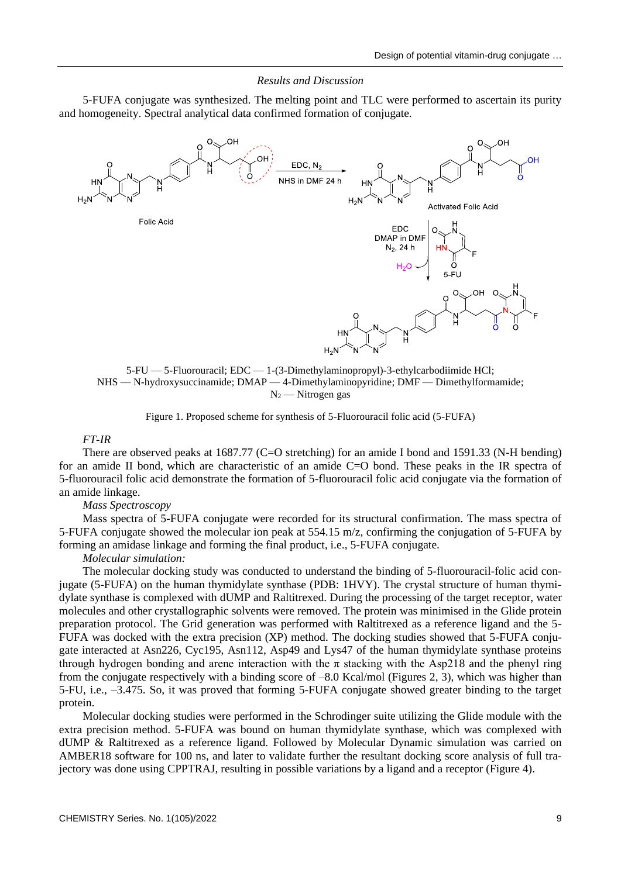## *Results and Discussion*

5-FUFA conjugate was synthesized. The melting point and TLC were performed to ascertain its purity and homogeneity. Spectral analytical data confirmed formation of conjugate.





Figure 1. Proposed scheme for synthesis of 5-Fluorouracil folic acid (5-FUFA)

# *FT-IR*

There are observed peaks at 1687.77 (C=O stretching) for an amide I bond and 1591.33 (N-H bending) for an amide II bond, which are characteristic of an amide C=O bond. These peaks in the IR spectra of 5-fluorouracil folic acid demonstrate the formation of 5-fluorouracil folic acid conjugate via the formation of an amide linkage.

*Mass Spectroscopy*

Mass spectra of 5-FUFA conjugate were recorded for its structural confirmation. The mass spectra of 5-FUFA conjugate showed the molecular ion peak at 554.15 m/z, confirming the conjugation of 5-FUFA by forming an amidase linkage and forming the final product, i.e., 5-FUFA conjugate.

*Molecular simulation:*

The molecular docking study was conducted to understand the binding of 5-fluorouracil-folic acid conjugate (5-FUFA) on the human thymidylate synthase (PDB: 1HVY). The crystal structure of human thymidylate synthase is complexed with dUMP and Raltitrexed. During the processing of the target receptor, water molecules and other crystallographic solvents were removed. The protein was minimised in the Glide protein preparation protocol. The Grid generation was performed with Raltitrexed as a reference ligand and the 5- FUFA was docked with the extra precision (XP) method. The docking studies showed that 5-FUFA conjugate interacted at Asn226, Cyc195, Asn112, Asp49 and Lys47 of the human thymidylate synthase proteins through hydrogen bonding and arene interaction with the  $\pi$  stacking with the Asp218 and the phenyl ring from the conjugate respectively with a binding score of –8.0 Kcal/mol (Figures 2, 3), which was higher than 5-FU, i.e., –3.475. So, it was proved that forming 5-FUFA conjugate showed greater binding to the target protein.

Molecular docking studies were performed in the Schrodinger suite utilizing the Glide module with the extra precision method. 5-FUFA was bound on human thymidylate synthase, which was complexed with dUMP & Raltitrexed as a reference ligand. Followed by Molecular Dynamic simulation was carried on AMBER18 software for 100 ns, and later to validate further the resultant docking score analysis of full trajectory was done using CPPTRAJ, resulting in possible variations by a ligand and a receptor (Figure 4).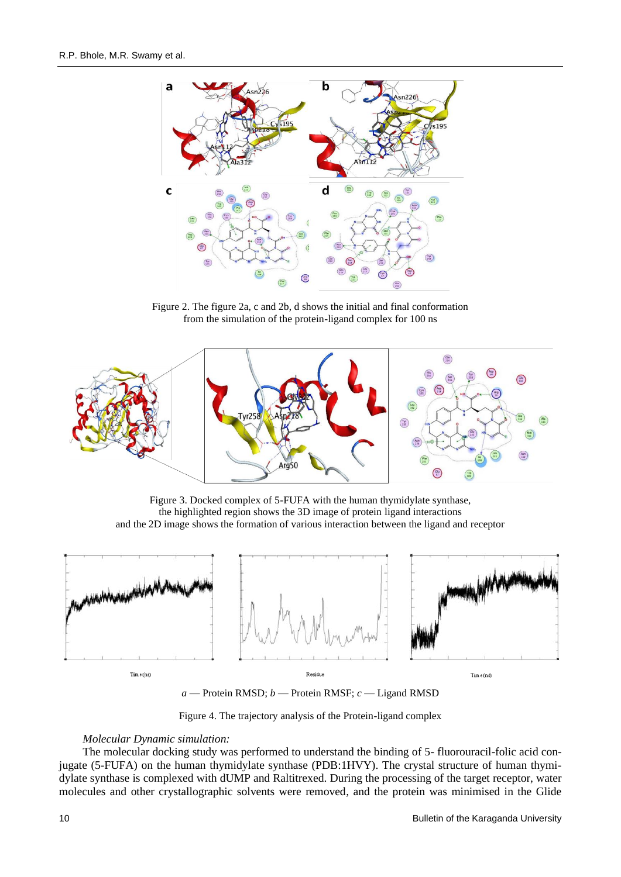

Figure 2. The figure 2a, c and 2b, d shows the initial and final conformation from the simulation of the protein-ligand complex for 100 ns



Figure 3. Docked complex of 5-FUFA with the human thymidylate synthase, the highlighted region shows the 3D image of protein ligand interactions and the 2D image shows the formation of various interaction between the ligand and receptor



*a* — Protein RMSD; *b* — Protein RMSF; *c* — Ligand RMSD

Figure 4. The trajectory analysis of the Protein-ligand complex

# *Molecular Dynamic simulation:*

The molecular docking study was performed to understand the binding of 5- fluorouracil-folic acid conjugate (5-FUFA) on the human thymidylate synthase (PDB:1HVY). The crystal structure of human thymidylate synthase is complexed with dUMP and Raltitrexed. During the processing of the target receptor, water molecules and other crystallographic solvents were removed, and the protein was minimised in the Glide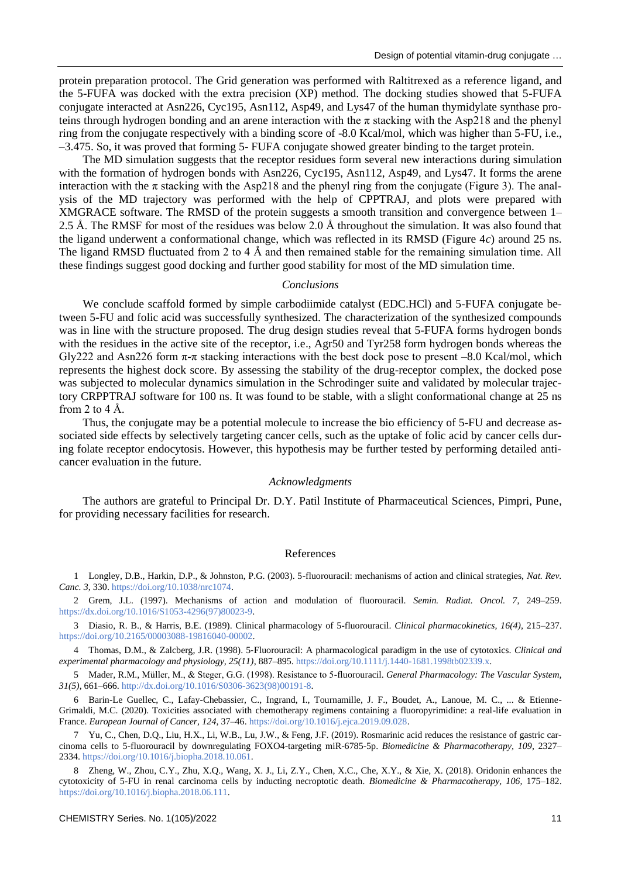protein preparation protocol. The Grid generation was performed with Raltitrexed as a reference ligand, and the 5-FUFA was docked with the extra precision (XP) method. The docking studies showed that 5-FUFA conjugate interacted at Asn226, Cyc195, Asn112, Asp49, and Lys47 of the human thymidylate synthase proteins through hydrogen bonding and an arene interaction with the  $\pi$  stacking with the Asp218 and the phenyl ring from the conjugate respectively with a binding score of -8.0 Kcal/mol, which was higher than 5-FU, i.e., –3.475. So, it was proved that forming 5- FUFA conjugate showed greater binding to the target protein.

The MD simulation suggests that the receptor residues form several new interactions during simulation with the formation of hydrogen bonds with Asn226, Cyc195, Asn112, Asp49, and Lys47. It forms the arene interaction with the  $\pi$  stacking with the Asp218 and the phenyl ring from the conjugate (Figure 3). The analysis of the MD trajectory was performed with the help of CPPTRAJ, and plots were prepared with XMGRACE software. The RMSD of the protein suggests a smooth transition and convergence between 1– 2.5 Å. The RMSF for most of the residues was below 2.0 Å throughout the simulation. It was also found that the ligand underwent a conformational change, which was reflected in its RMSD (Figure 4*c*) around 25 ns. The ligand RMSD fluctuated from 2 to 4 Å and then remained stable for the remaining simulation time. All these findings suggest good docking and further good stability for most of the MD simulation time.

#### *Conclusions*

We conclude scaffold formed by simple carbodiimide catalyst (EDC.HCl) and 5-FUFA conjugate between 5-FU and folic acid was successfully synthesized. The characterization of the synthesized compounds was in line with the structure proposed. The drug design studies reveal that 5-FUFA forms hydrogen bonds with the residues in the active site of the receptor, i.e., Agr50 and Tyr258 form hydrogen bonds whereas the Gly222 and Asn226 form  $\pi$ - $\pi$  stacking interactions with the best dock pose to present –8.0 Kcal/mol, which represents the highest dock score. By assessing the stability of the drug-receptor complex, the docked pose was subjected to molecular dynamics simulation in the Schrodinger suite and validated by molecular trajectory CRPPTRAJ software for 100 ns. It was found to be stable, with a slight conformational change at 25 ns from 2 to 4  $\AA$ .

Thus, the conjugate may be a potential molecule to increase the bio efficiency of 5-FU and decrease associated side effects by selectively targeting cancer cells, such as the uptake of folic acid by cancer cells during folate receptor endocytosis. However, this hypothesis may be further tested by performing detailed anticancer evaluation in the future.

#### *Acknowledgments*

The authors are grateful to Principal Dr. D.Y. Patil Institute of Pharmaceutical Sciences, Pimpri, Pune, for providing necessary facilities for research.

## References

1 Longley, D.B., Harkin, D.P., & Johnston, P.G. (2003). 5-fluorouracil: mechanisms of action and clinical strategies, *Nat. Rev. Canc. 3*, 330. [https://doi.org/10.1038/nrc1074.](https://doi.org/10.1038/nrc1074)

2 Grem, J.L. (1997). Mechanisms of action and modulation of fluorouracil. *Semin. Radiat. Oncol. 7*, 249–259. [https://dx.doi.org/10.1016/S1053-4296\(97\)80023-9.](https://dx.doi.org/10.1016/S1053-4296(97)80023-9)

3 Diasio, R. B., & Harris, B.E. (1989). Clinical pharmacology of 5-fluorouracil. *Clinical pharmacokinetics, 16(4)*, 215–237. [https://doi.org/10.2165/00003088-19816040-00002.](https://doi.org/10.2165/00003088-19816040-00002)

4 Thomas, D.M., & Zalcberg, J.R. (1998). 5‐Fluorouracil: A pharmacological paradigm in the use of cytotoxics. *Clinical and experimental pharmacology and physiology, 25(11)*, 887–895. [https://doi.org/10.1111/j.1440-1681.1998tb02339.x.](https://doi.org/10.1111/j.1440-1681.1998tb02339.x)

5 Mader, R.M., Müller, M., & Steger, G.G. (1998). Resistance to 5-fluorouracil. *General Pharmacology: The Vascular System, 31(5)*, 661–666[. http://dx.doi.org/10.1016/S0306-3623\(98\)00191-8.](http://dx.doi.org/10.1016/S0306-3623(98)00191-8) 

6 Barin-Le Guellec, C., Lafay-Chebassier, C., Ingrand, I., Tournamille, J. F., Boudet, A., Lanoue, M. C., ... & Etienne-Grimaldi, M.C. (2020). Toxicities associated with chemotherapy regimens containing a fluoropyrimidine: a real-life evaluation in France. *European Journal of Cancer, 124*, 37–46. [https://doi.org/10.1016/j.ejca.2019.09.028.](https://doi.org/10.1016/j.ejca.2019.09.028) 

7 Yu, C., Chen, D.Q., Liu, H.X., Li, W.B., Lu, J.W., & Feng, J.F. (2019). Rosmarinic acid reduces the resistance of gastric carcinoma cells to 5-fluorouracil by downregulating FOXO4-targeting miR-6785-5p. *Biomedicine & Pharmacotherapy, 109*, 2327– 2334[. https://doi.org/10.1016/j.biopha.2018.10.061.](https://doi.org/10.1016/j.biopha.2018.10.061)

8 Zheng, W., Zhou, C.Y., Zhu, X.Q., Wang, X. J., Li, Z.Y., Chen, X.C., Che, X.Y., & Xie, X. (2018). Oridonin enhances the cytotoxicity of 5-FU in renal carcinoma cells by inducting necroptotic death*. Biomedicine & Pharmacotherapy, 106,* 175–182. [https://doi.org/10.1016/j.biopha.2018.06.111.](https://doi.org/10.1016/j.biopha.2018.06.111)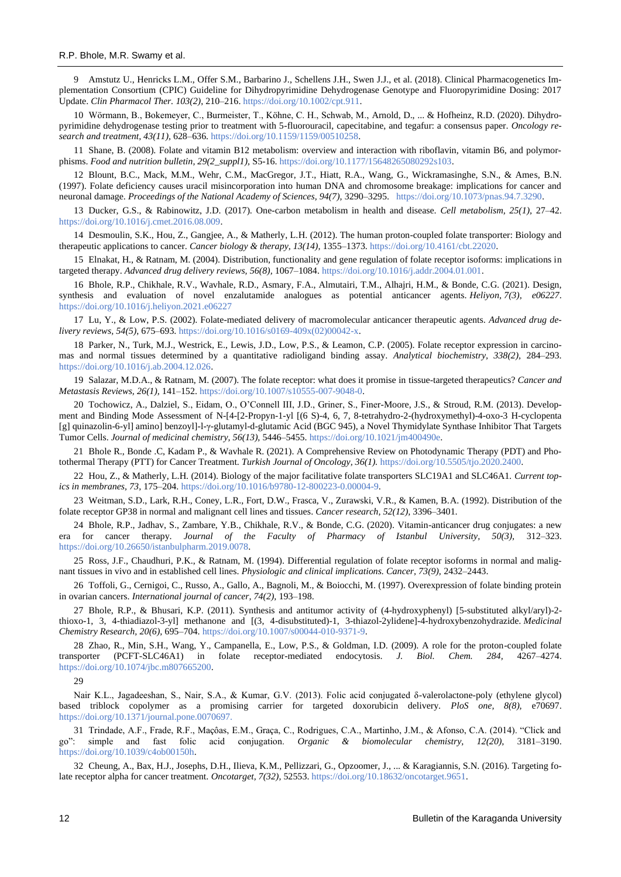9 Amstutz U., Henricks L.M., Offer S.M., Barbarino J., Schellens J.H., Swen J.J., et al. (2018). Clinical Pharmacogenetics Implementation Consortium (CPIC) Guideline for Dihydropyrimidine Dehydrogenase Genotype and Fluoropyrimidine Dosing: 2017 Update. *Clin Pharmacol Ther. 103(2)*, 210–216[. https://doi.org/10.1002/cpt.911.](https://doi.org/10.1002/cpt.911)

10 Wörmann, B., Bokemeyer, C., Burmeister, T., Köhne, C. H., Schwab, M., Arnold, D., ... & Hofheinz, R.D. (2020). Dihydropyrimidine dehydrogenase testing prior to treatment with 5-fluorouracil, capecitabine, and tegafur: a consensus paper. *Oncology research and treatment, 43(11),* 628–636. [https://doi.org/10.1159/1159/00510258.](https://doi.org/10.1159/1159/00510258) 

11 Shane, B. (2008). Folate and vitamin B12 metabolism: overview and interaction with riboflavin, vitamin B6, and polymorphisms. *Food and nutrition bulletin, 29(2\_suppl1),* S5-16. [https://doi.org/10.1177/15648265080292s103.](https://doi.org/10.1177/15648265080292s103)

12 Blount, B.C., Mack, M.M., Wehr, C.M., MacGregor, J.T., Hiatt, R.A., Wang, G., Wickramasinghe, S.N., & Ames, B.N. (1997). Folate deficiency causes uracil misincorporation into human DNA and chromosome breakage: implications for cancer and neuronal damage. *Proceedings of the National Academy of Sciences, 94(7),* 3290–3295. [https://doi.org/10.1073/pnas.94.7.3290.](https://doi.org/10.1073/pnas.94.7.3290)

13 Ducker, G.S., & Rabinowitz, J.D. (2017). One-carbon metabolism in health and disease. *Cell metabolism, 25(1),* 27–42. [https://doi.org/10.1016/j.cmet.2016.08.009.](https://doi.org/10.1016/j.cmet.2016.08.009)

14 Desmoulin, S.K., Hou, Z., Gangjee, A., & Matherly, L.H. (2012). The human proton-coupled folate transporter: Biology and therapeutic applications to cancer. *Cancer biology & therapy, 13(14),* 1355–1373[. https://doi.org/10.4161/cbt.22020.](https://doi.org/10.4161/cbt.22020) 

15 Elnakat, H., & Ratnam, M. (2004). Distribution, functionality and gene regulation of folate receptor isoforms: implications in targeted therapy. *Advanced drug delivery reviews, 56(8),* 1067–1084[. https://doi.org/10.1016/j.addr.2004.01.001.](https://doi.org/10.1016/j.addr.2004.01.001)

16 Bhole, R.P., Chikhale, R.V., Wavhale, R.D., Asmary, F.A., Almutairi, T.M., Alhajri, H.M., & Bonde, C.G. (2021). Design, synthesis and evaluation of novel enzalutamide analogues as potential anticancer agents. *Heliyon, 7(3), e06227*. <https://doi.org/10.1016/j.heliyon.2021.e06227>

17 Lu, Y., & Low, P.S. (2002). Folate-mediated delivery of macromolecular anticancer therapeutic agents. *Advanced drug delivery reviews, 54(5)*, 675–693[. https://doi.org/10.1016/s0169-409x\(02\)00042-x.](https://doi.org/10.1016/s0169-409x(02)00042-x)

18 Parker, N., Turk, M.J., Westrick, E., Lewis, J.D., Low, P.S., & Leamon, C.P. (2005). Folate receptor expression in carcinomas and normal tissues determined by a quantitative radioligand binding assay. *Analytical biochemistry, 338(2),* 284–293. [https://doi.org/10.1016/j.ab.2004.12.026.](https://doi.org/10.1016/j.ab.2004.12.026)

19 Salazar, M.D.A., & Ratnam, M. (2007). The folate receptor: what does it promise in tissue-targeted therapeutics? *Cancer and Metastasis Reviews, 26(1),* 141–152[. https://doi.org/10.1007/s10555-007-9048-0.](https://doi.org/10.1007/s10555-007-9048-0) 

20 Tochowicz, A., Dalziel, S., Eidam, O., O'Connell III, J.D., Griner, S., Finer-Moore, J.S., & Stroud, R.M. (2013). Development and Binding Mode Assessment of N-[4-[2-Propyn-1-yl [(6 S)-4, 6, 7, 8-tetrahydro-2-(hydroxymethyl)-4-oxo-3 H-cyclopenta [g] quinazolin-6-yl] amino] benzoyl]-l-γ-glutamyl-d-glutamic Acid (BGC 945), a Novel Thymidylate Synthase Inhibitor That Targets Tumor Cells. *Journal of medicinal chemistry, 56(13),* 5446–5455[. https://doi.org/10.1021/jm400490e.](https://doi.org/10.1021/jm400490e)

21 Bhole R., Bonde .C, Kadam P., & Wavhale R. (2021). A Comprehensive Review on Photodynamic Therapy (PDT) and Photothermal Therapy (PTT) for Cancer Treatment. *Turkish Journal of Oncology, 36(1).* [https://doi.org/10.5505/tjo.2020.2400.](https://doi.org/10.5505/tjo.2020.2400)

22 Hou, Z., & Matherly, L.H. (2014). Biology of the major facilitative folate transporters SLC19A1 and SLC46A1. *Current topics in membranes, 73,* 175–204[. https://doi.org/10.1016/b9780-12-800223-0.00004-9.](https://doi.org/10.1016/b9780-12-800223-0.00004-9)

23 Weitman, S.D., Lark, R.H., Coney, L.R., Fort, D.W., Frasca, V., Zurawski, V.R., & Kamen, B.A. (1992). Distribution of the folate receptor GP38 in normal and malignant cell lines and tissues. *Cancer research, 52(12),* 3396–3401.

24 Bhole, R.P., Jadhav, S., Zambare, Y.B., Chikhale, R.V., & Bonde, C.G. (2020). Vitamin-anticancer drug conjugates: a new era for cancer therapy. *Journal of the Faculty of Pharmacy of Istanbul University, 50(3),* 312–323. [https://doi.org/10.26650/istanbulpharm.2019.0078.](https://doi.org/10.26650/istanbulpharm.2019.0078)

25 Ross, J.F., Chaudhuri, P.K., & Ratnam, M. (1994). Differential regulation of folate receptor isoforms in normal and malignant tissues in vivo and in established cell lines. *Physiologic and clinical implications. Cancer, 73(9), 2432–2443.* 

26 Toffoli, G., Cernigoi, C., Russo, A., Gallo, A., Bagnoli, M., & Boiocchi, M. (1997). Overexpression of folate binding protein in ovarian cancers. *International journal of cancer, 74(2),* 193–198.

27 Bhole, R.P., & Bhusari, K.P. (2011). Synthesis and antitumor activity of (4-hydroxyphenyl) [5-substituted alkyl/aryl)-2 thioxo-1, 3, 4-thiadiazol-3-yl] methanone and [(3, 4-disubstituted)-1, 3-thiazol-2ylidene]-4-hydroxybenzohydrazide. *Medicinal Chemistry Research, 20(6),* 695–704. [https://doi.org/10.1007/s00044-010-9371-9.](https://doi.org/10.1007/s00044-010-9371-9)

28 Zhao, R., Min, S.H., Wang, Y., Campanella, E., Low, P.S., & Goldman, I.D. (2009). A role for the proton-coupled folate transporter (PCFT-SLC46A1) in folate receptor-mediated endocytosis. *J. Biol. Chem. 284,* 4267–4274. [https://doi.org/10.1074/jbc.m807665200.](https://doi.org/10.1074/jbc.m807665200) 

29

Nair K.L., Jagadeeshan, S., Nair, S.A., & Kumar, G.V. (2013). Folic acid conjugated δ-valerolactone-poly (ethylene glycol) based triblock copolymer as a promising carrier for targeted doxorubicin delivery. *PloS one, 8(8),* e70697. <https://doi.org/10.1371/journal.pone.0070697.>

31 Trindade, A.F., Frade, R.F., Maçôas, E.M., Graça, C., Rodrigues, C.A., Martinho, J.M., & Afonso, C.A. (2014). "Click and go": simple and fast folic acid conjugation. *Organic & biomolecular chemistry, 12(20),* 3181–3190. [https://doi.org/10.1039/c4ob00150h.](https://doi.org/10.1039/c4ob00150h)

32 Cheung, A., Bax, H.J., Josephs, D.H., Ilieva, K.M., Pellizzari, G., Opzoomer, J., ... & Karagiannis, S.N. (2016). Targeting folate receptor alpha for cancer treatment. *Oncotarget, 7(32),* 52553. [https://doi.org/10.18632/oncotarget.9651.](https://doi.org/10.18632/oncotarget.9651)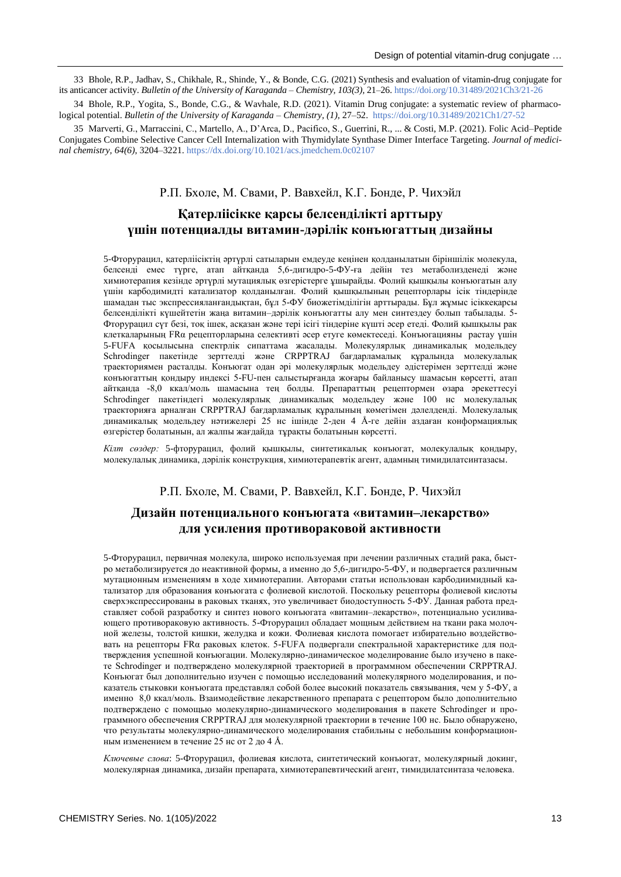33 Bhole, R.P., Jadhav, S., Chikhale, R., Shinde, Y., & Bonde, C.G. (2021) Synthesis and evaluation of vitamin-drug conjugate for its anticancer activity. *Bulletin of the University of Karaganda – Chemistry, 103(3),* 21–26[. https://doi.org/10.31489/2021Ch3/21-26](https://doi.org/10.31489/2021Ch3/21-26) 

34 Bhole, R.P., Yogita, S., Bonde, C.G., & Wavhale, R.D. (2021). Vitamin Drug conjugate: a systematic review of pharmacological potential. *Bulletin of the University of Karaganda – Chemistry, (1)*, 27–52.<https://doi.org/10.31489/2021Ch1/27-52>

35 Marverti, G., Marraccini, C., Martello, A., D'Arca, D., Pacifico, S., Guerrini, R., ... & Costi, M.P. (2021). Folic Acid–Peptide Conjugates Combine Selective Cancer Cell Internalization with Thymidylate Synthase Dimer Interface Targeting. *Journal of medicinal chemistry, 64(6)*, 3204–3221.<https://dx.doi.org/10.1021/acs.jmedchem.0c02107>

# Р.П. Бхоле, М. Свами, Р. Вавхейл, К.Г. Бонде, Р. Чихэйл

# **Қатерліісікке қарсы белсенділікті арттыру үшін потенциалды витамин-дәрілік конъюгаттың дизайны**

5-Фторурацил, қатерліісіктің әртүрлі сатыларын емдеуде кеңінен қолданылатын біріншілік молекула, белсенді емес түрге, атап айтқанда 5,6-дигидро-5-ФУ-ға дейін тез метаболизденеді және химиотерапия кезінде әртүрлі мутациялық өзгерістерге ұшырайды. Фолий қышқылы конъюгатын алу үшін карбодимидті катализатор қолданылған. Фолий қышқылының рецепторлары ісік тіндерінде шамадан тыс экспрессияланғандықтан, бұл 5-ФУ биожетімділігін арттырады. Бұл жұмыс ісіккеқарсы белсенділікті күшейтетін жаңа витамин–дәрілік конъюгатты алу мен синтездеу болып табылады. 5- Фторурацил сүт безі, тоқ ішек, асқазан және тері ісігі тіндеріне күшті әсер етеді. Фолий қышқылы рак клеткаларының FRα рецепторларына селективті әсер етуге көмектеседі. Конъюгацияны растау үшін 5-FUFA қосылысына спектрлік сипаттама жасалады. Молекулярлық динамикалық модельдеу Schrodinger пакетінде зерттелді және CRPPTRAJ бағдарламалық құралында молекулалық траекториямен расталды. Конъюгат одан әрі молекулярлық модельдеу әдістерімен зерттелді және конъюгаттың қондыру индексі 5-FU-пен салыстырғанда жоғары байланысу шамасын көрсетті, атап айтқанда -8,0 ккал/моль шамасына тең болды. Препараттың рецептормен өзара әрекеттесуі Schrodinger пакетіндегі молекулярлық динамикалық модельдеу және 100 нс молекулалық траекторияға арналған CRPPTRAJ бағдарламалық құралының көмегімен дәлелденді. Молекулалық динамикалық модельдеу нәтижелері 25 нс ішінде 2-ден 4 Å-ге дейін аздаған конформациялық өзгерістер болатынын, ал жалпы жағдайда тұрақты болатынын көрсетті.

*Кілт сөздер:* 5-фторурацил, фолий қышқылы, синтетикалық конъюгат, молекулалық қондыру, молекулалық динамика, дәрілік конструкция, химиотерапевтік агент, адамның тимидилатсинтазасы.

## Р.П. Бхоле, М. Свами, Р. Вавхейл, К.Г. Бонде, Р. Чихэйл

# **Дизайн потенциального конъюгата «витамин–лекарство» для усиления противораковой активности**

5-Фторурацил, первичная молекула, широко используемая при лечении различных стадий рака, быстро метаболизируется до неактивной формы, а именно до 5,6-дигидро-5-ФУ, и подвергается различным мутационным изменениям в ходе химиотерапии. Авторами статьи использован карбодиимидный катализатор для образования конъюгата с фолиевой кислотой. Поскольку рецепторы фолиевой кислоты сверхэкспрессированы в раковых тканях, это увеличивает биодоступность 5-ФУ. Данная работа представляет собой разработку и синтез нового конъюгата «витамин–лекарство», потенциально усиливающего противораковую активность. 5-Фторурацил обладает мощным действием на ткани рака молочной железы, толстой кишки, желудка и кожи. Фолиевая кислота помогает избирательно воздействовать на рецепторы FRα раковых клеток. 5-FUFA подвергали спектральной характеристике для подтверждения успешной конъюгации. Молекулярно-динамическое моделирование было изучено в пакете Schrodinger и подтверждено молекулярной траекторией в программном обеспечении CRPPTRAJ. Конъюгат был дополнительно изучен с помощью исследований молекулярного моделирования, и показатель стыковки конъюгата представлял собой более высокий показатель связывания, чем у 5-ФУ, а именно 8,0 ккал/моль. Взаимодействие лекарственного препарата с рецептором было дополнительно подтверждено с помощью молекулярно-динамического моделирования в пакете Schrodinger и программного обеспечения CRPPTRAJ для молекулярной траектории в течение 100 нс. Было обнаружено, что результаты молекулярно-динамического моделирования стабильны с небольшим конформационным изменением в течение 25 нс от 2 до 4 Å.

*Ключевые слова*: 5-Фторурацил, фолиевая кислота, синтетический конъюгат, молекулярный докинг, молекулярная динамика, дизайн препарата, химиотерапевтический агент, тимидилатсинтаза человека.